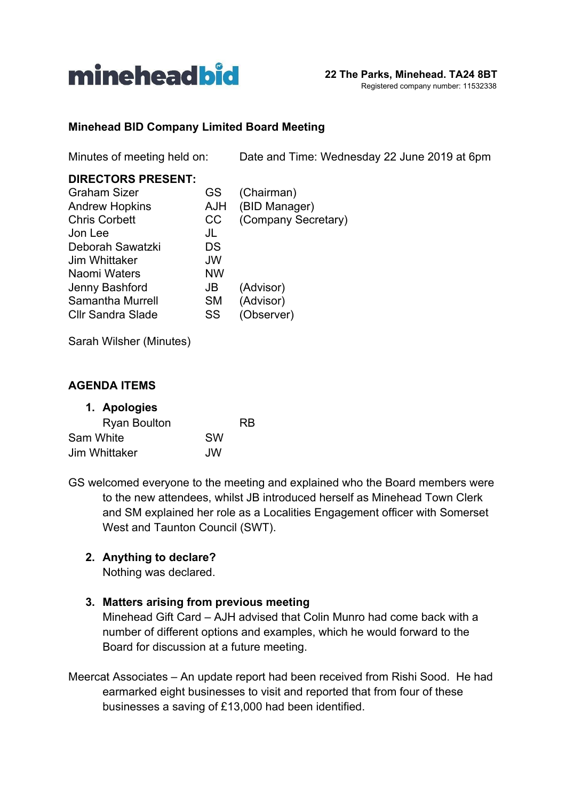

### **Minehead BID Company Limited Board Meeting**

Minutes of meeting held on: Date and Time: Wednesday 22 June 2019 at 6pm

## **DIRECTORS PRESENT:**

| GS         | (Chairman)          |
|------------|---------------------|
| <b>AJH</b> | (BID Manager)       |
| CC         | (Company Secretary) |
| JL         |                     |
| DS         |                     |
| JW         |                     |
| <b>NW</b>  |                     |
| JB         | (Advisor)           |
| <b>SM</b>  | (Advisor)           |
| SS         | (Observer)          |
|            |                     |

Sarah Wilsher (Minutes)

### **AGENDA ITEMS**

|  | 1. Apologies |  |
|--|--------------|--|
|--|--------------|--|

| <b>Ryan Boulton</b> |           | <b>RB</b> |
|---------------------|-----------|-----------|
| Sam White           | <b>SW</b> |           |
| Jim Whittaker       | .JW       |           |

GS welcomed everyone to the meeting and explained who the Board members were to the new attendees, whilst JB introduced herself as Minehead Town Clerk and SM explained her role as a Localities Engagement officer with Somerset West and Taunton Council (SWT).

### **2. Anything to declare?**

Nothing was declared.

### **3. Matters arising from previous meeting**

Minehead Gift Card – AJH advised that Colin Munro had come back with a number of different options and examples, which he would forward to the Board for discussion at a future meeting.

Meercat Associates – An update report had been received from Rishi Sood. He had earmarked eight businesses to visit and reported that from four of these businesses a saving of £13,000 had been identified.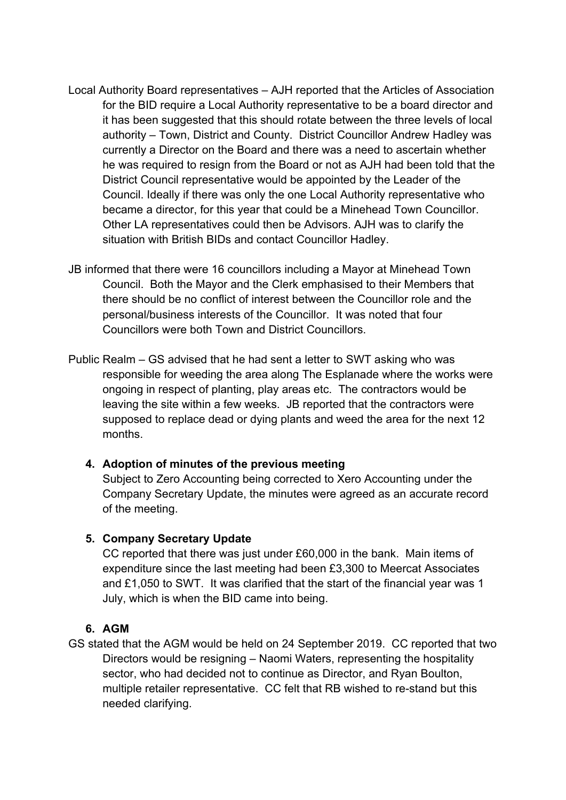- Local Authority Board representatives AJH reported that the Articles of Association for the BID require a Local Authority representative to be a board director and it has been suggested that this should rotate between the three levels of local authority – Town, District and County. District Councillor Andrew Hadley was currently a Director on the Board and there was a need to ascertain whether he was required to resign from the Board or not as AJH had been told that the District Council representative would be appointed by the Leader of the Council. Ideally if there was only the one Local Authority representative who became a director, for this year that could be a Minehead Town Councillor. Other LA representatives could then be Advisors. AJH was to clarify the situation with British BIDs and contact Councillor Hadley.
- JB informed that there were 16 councillors including a Mayor at Minehead Town Council. Both the Mayor and the Clerk emphasised to their Members that there should be no conflict of interest between the Councillor role and the personal/business interests of the Councillor. It was noted that four Councillors were both Town and District Councillors.
- Public Realm GS advised that he had sent a letter to SWT asking who was responsible for weeding the area along The Esplanade where the works were ongoing in respect of planting, play areas etc. The contractors would be leaving the site within a few weeks. JB reported that the contractors were supposed to replace dead or dying plants and weed the area for the next 12 months.

#### **4. Adoption of minutes of the previous meeting**

Subject to Zero Accounting being corrected to Xero Accounting under the Company Secretary Update, the minutes were agreed as an accurate record of the meeting.

### **5. Company Secretary Update**

CC reported that there was just under £60,000 in the bank. Main items of expenditure since the last meeting had been £3,300 to Meercat Associates and £1,050 to SWT. It was clarified that the start of the financial year was 1 July, which is when the BID came into being.

### **6. AGM**

GS stated that the AGM would be held on 24 September 2019. CC reported that two Directors would be resigning – Naomi Waters, representing the hospitality sector, who had decided not to continue as Director, and Ryan Boulton, multiple retailer representative. CC felt that RB wished to re-stand but this needed clarifying.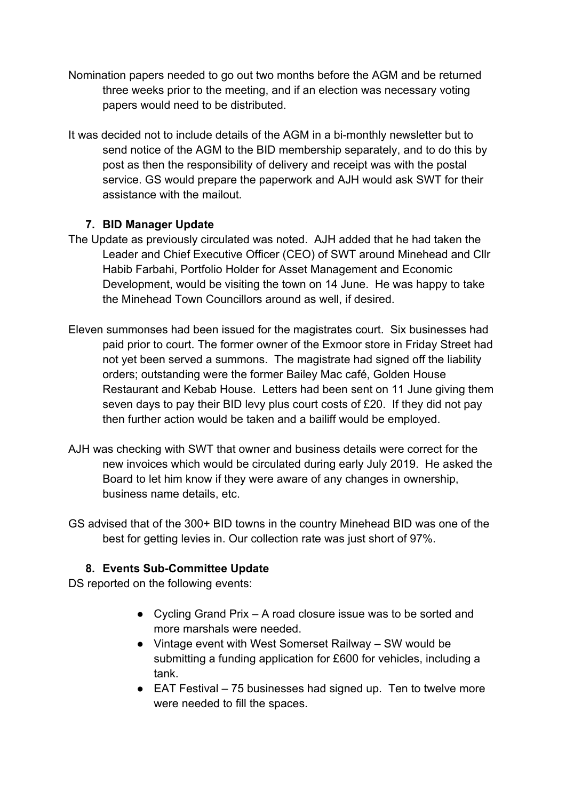- Nomination papers needed to go out two months before the AGM and be returned three weeks prior to the meeting, and if an election was necessary voting papers would need to be distributed.
- It was decided not to include details of the AGM in a bi-monthly newsletter but to send notice of the AGM to the BID membership separately, and to do this by post as then the responsibility of delivery and receipt was with the postal service. GS would prepare the paperwork and AJH would ask SWT for their assistance with the mailout.

## **7. BID Manager Update**

- The Update as previously circulated was noted. AJH added that he had taken the Leader and Chief Executive Officer (CEO) of SWT around Minehead and Cllr Habib Farbahi, Portfolio Holder for Asset Management and Economic Development, would be visiting the town on 14 June. He was happy to take the Minehead Town Councillors around as well, if desired.
- Eleven summonses had been issued for the magistrates court. Six businesses had paid prior to court. The former owner of the Exmoor store in Friday Street had not yet been served a summons. The magistrate had signed off the liability orders; outstanding were the former Bailey Mac café, Golden House Restaurant and Kebab House. Letters had been sent on 11 June giving them seven days to pay their BID levy plus court costs of £20. If they did not pay then further action would be taken and a bailiff would be employed.
- AJH was checking with SWT that owner and business details were correct for the new invoices which would be circulated during early July 2019. He asked the Board to let him know if they were aware of any changes in ownership, business name details, etc.
- GS advised that of the 300+ BID towns in the country Minehead BID was one of the best for getting levies in. Our collection rate was just short of 97%.

# **8. Events Sub-Committee Update**

DS reported on the following events:

- Cycling Grand Prix A road closure issue was to be sorted and more marshals were needed.
- Vintage event with West Somerset Railway SW would be submitting a funding application for £600 for vehicles, including a tank.
- $\bullet$  EAT Festival 75 businesses had signed up. Ten to twelve more were needed to fill the spaces.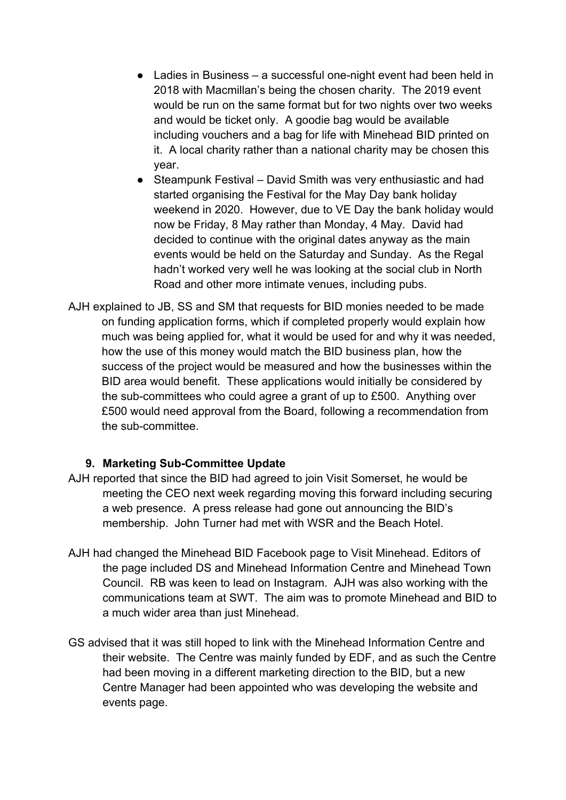- Ladies in Business a successful one-night event had been held in 2018 with Macmillan's being the chosen charity. The 2019 event would be run on the same format but for two nights over two weeks and would be ticket only. A goodie bag would be available including vouchers and a bag for life with Minehead BID printed on it. A local charity rather than a national charity may be chosen this year.
- Steampunk Festival David Smith was very enthusiastic and had started organising the Festival for the May Day bank holiday weekend in 2020. However, due to VE Day the bank holiday would now be Friday, 8 May rather than Monday, 4 May. David had decided to continue with the original dates anyway as the main events would be held on the Saturday and Sunday. As the Regal hadn't worked very well he was looking at the social club in North Road and other more intimate venues, including pubs.
- AJH explained to JB, SS and SM that requests for BID monies needed to be made on funding application forms, which if completed properly would explain how much was being applied for, what it would be used for and why it was needed, how the use of this money would match the BID business plan, how the success of the project would be measured and how the businesses within the BID area would benefit. These applications would initially be considered by the sub-committees who could agree a grant of up to £500. Anything over £500 would need approval from the Board, following a recommendation from the sub-committee.

#### **9. Marketing Sub-Committee Update**

- AJH reported that since the BID had agreed to join Visit Somerset, he would be meeting the CEO next week regarding moving this forward including securing a web presence. A press release had gone out announcing the BID's membership. John Turner had met with WSR and the Beach Hotel.
- AJH had changed the Minehead BID Facebook page to Visit Minehead. Editors of the page included DS and Minehead Information Centre and Minehead Town Council. RB was keen to lead on Instagram. AJH was also working with the communications team at SWT. The aim was to promote Minehead and BID to a much wider area than just Minehead.
- GS advised that it was still hoped to link with the Minehead Information Centre and their website. The Centre was mainly funded by EDF, and as such the Centre had been moving in a different marketing direction to the BID, but a new Centre Manager had been appointed who was developing the website and events page.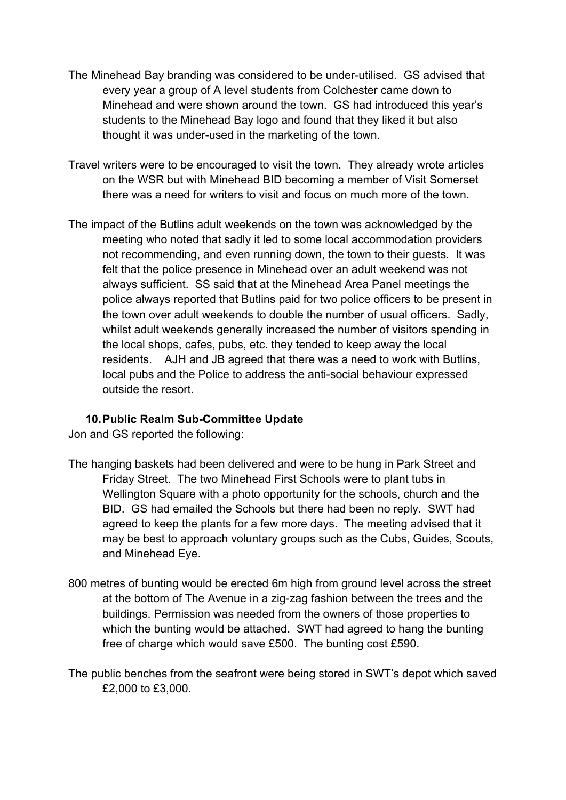- The Minehead Bay branding was considered to be under-utilised. GS advised that every year a group of A level students from Colchester came down to Minehead and were shown around the town. GS had introduced this year's students to the Minehead Bay logo and found that they liked it but also thought it was under-used in the marketing of the town.
- Travel writers were to be encouraged to visit the town. They already wrote articles on the WSR but with Minehead BID becoming a member of Visit Somerset there was a need for writers to visit and focus on much more of the town.
- The impact of the Butlins adult weekends on the town was acknowledged by the meeting who noted that sadly it led to some local accommodation providers not recommending, and even running down, the town to their guests. It was felt that the police presence in Minehead over an adult weekend was not always sufficient. SS said that at the Minehead Area Panel meetings the police always reported that Butlins paid for two police officers to be present in the town over adult weekends to double the number of usual officers. Sadly, whilst adult weekends generally increased the number of visitors spending in the local shops, cafes, pubs, etc. they tended to keep away the local residents. AJH and JB agreed that there was a need to work with Butlins, local pubs and the Police to address the anti-social behaviour expressed outside the resort.

### **10.Public Realm Sub-Committee Update**

Jon and GS reported the following:

- The hanging baskets had been delivered and were to be hung in Park Street and Friday Street. The two Minehead First Schools were to plant tubs in Wellington Square with a photo opportunity for the schools, church and the BID. GS had emailed the Schools but there had been no reply. SWT had agreed to keep the plants for a few more days. The meeting advised that it may be best to approach voluntary groups such as the Cubs, Guides, Scouts, and Minehead Eye.
- 800 metres of bunting would be erected 6m high from ground level across the street at the bottom of The Avenue in a zig-zag fashion between the trees and the buildings. Permission was needed from the owners of those properties to which the bunting would be attached. SWT had agreed to hang the bunting free of charge which would save £500. The bunting cost £590.
- The public benches from the seafront were being stored in SWT's depot which saved £2,000 to £3,000.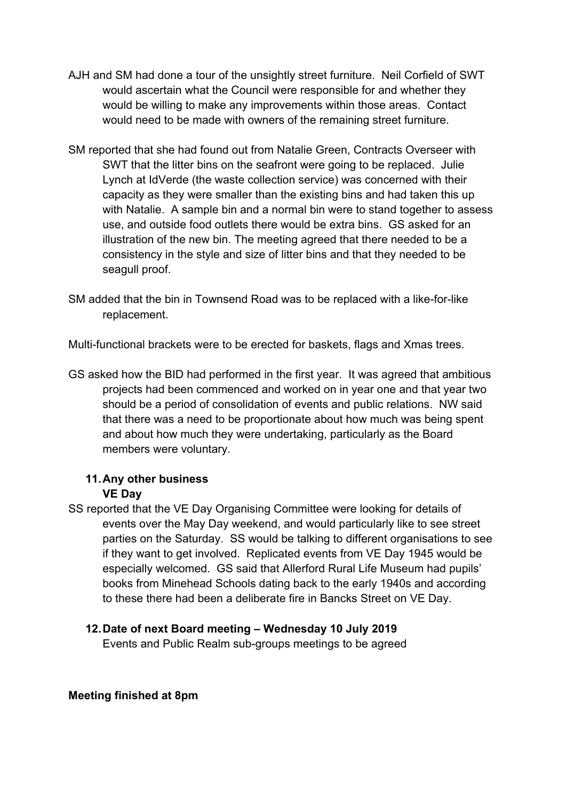- AJH and SM had done a tour of the unsightly street furniture. Neil Corfield of SWT would ascertain what the Council were responsible for and whether they would be willing to make any improvements within those areas. Contact would need to be made with owners of the remaining street furniture.
- SM reported that she had found out from Natalie Green, Contracts Overseer with SWT that the litter bins on the seafront were going to be replaced. Julie Lynch at IdVerde (the waste collection service) was concerned with their capacity as they were smaller than the existing bins and had taken this up with Natalie. A sample bin and a normal bin were to stand together to assess use, and outside food outlets there would be extra bins. GS asked for an illustration of the new bin. The meeting agreed that there needed to be a consistency in the style and size of litter bins and that they needed to be seagull proof.
- SM added that the bin in Townsend Road was to be replaced with a like-for-like replacement.

Multi-functional brackets were to be erected for baskets, flags and Xmas trees.

GS asked how the BID had performed in the first year. It was agreed that ambitious projects had been commenced and worked on in year one and that year two should be a period of consolidation of events and public relations. NW said that there was a need to be proportionate about how much was being spent and about how much they were undertaking, particularly as the Board members were voluntary.

### **11.Any other business VE Day**

SS reported that the VE Day Organising Committee were looking for details of events over the May Day weekend, and would particularly like to see street parties on the Saturday. SS would be talking to different organisations to see if they want to get involved. Replicated events from VE Day 1945 would be especially welcomed. GS said that Allerford Rural Life Museum had pupils' books from Minehead Schools dating back to the early 1940s and according to these there had been a deliberate fire in Bancks Street on VE Day.

### **12.Date of next Board meeting – Wednesday 10 July 2019** Events and Public Realm sub-groups meetings to be agreed

### **Meeting finished at 8pm**